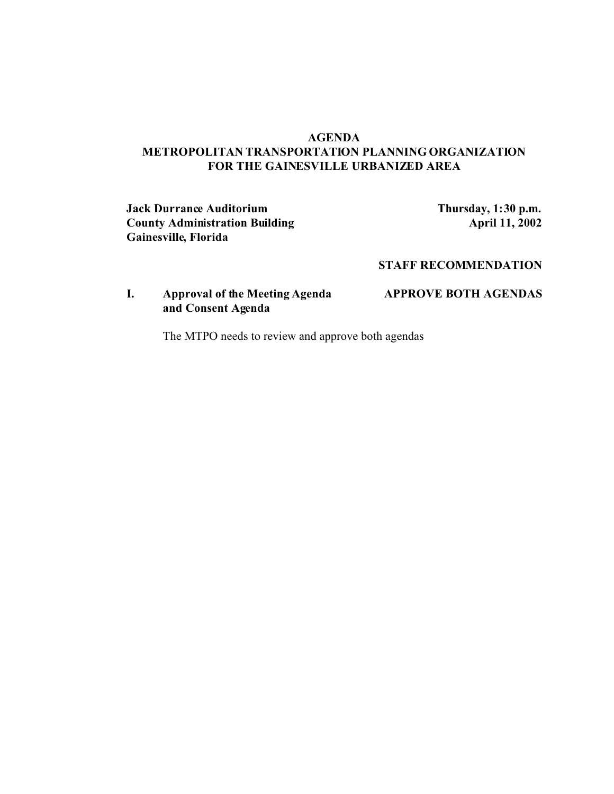### **AGENDA METROPOLITAN TRANSPORTATION PLANNING ORGANIZATION FOR THE GAINESVILLE URBANIZED AREA**

**Jack Durrance Auditorium Thursday, 1:30 p.m. County Administration Building Gainesville, Florida**

## **STAFF RECOMMENDATION**

# **I. Approval of the Meeting Agenda APPROVE BOTH AGENDAS and Consent Agenda**

The MTPO needs to review and approve both agendas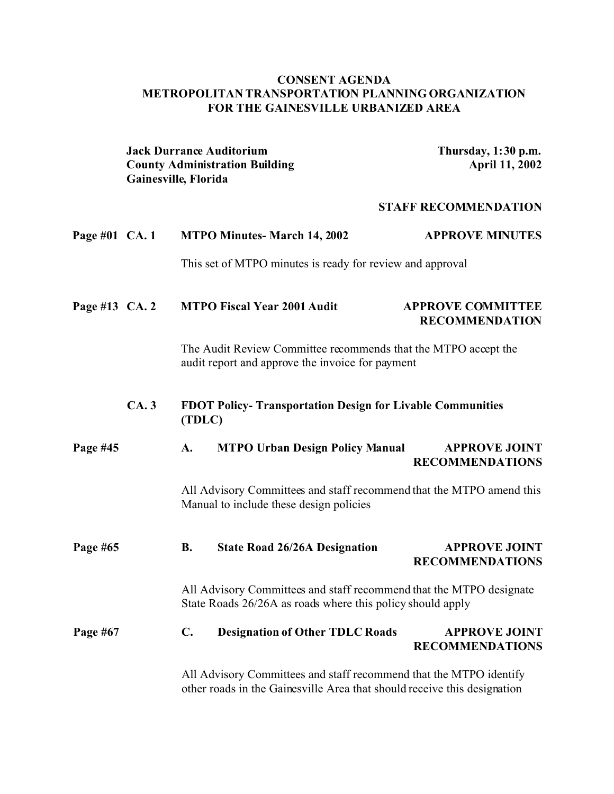## **CONSENT AGENDA METROPOLITAN TRANSPORTATION PLANNING ORGANIZATION FOR THE GAINESVILLE URBANIZED AREA**

|                | <b>Jack Durrance Auditorium</b><br><b>County Administration Building</b><br>Gainesville, Florida                   |                                                                                                                                                |                                                                                                                                   | Thursday, 1:30 p.m.<br><b>April 11, 2002</b>      |  |
|----------------|--------------------------------------------------------------------------------------------------------------------|------------------------------------------------------------------------------------------------------------------------------------------------|-----------------------------------------------------------------------------------------------------------------------------------|---------------------------------------------------|--|
|                |                                                                                                                    |                                                                                                                                                | <b>STAFF RECOMMENDATION</b>                                                                                                       |                                                   |  |
| Page #01 CA. 1 |                                                                                                                    |                                                                                                                                                | <b>MTPO Minutes- March 14, 2002</b>                                                                                               | <b>APPROVE MINUTES</b>                            |  |
|                |                                                                                                                    |                                                                                                                                                | This set of MTPO minutes is ready for review and approval                                                                         |                                                   |  |
| Page #13 CA. 2 |                                                                                                                    |                                                                                                                                                | <b>MTPO Fiscal Year 2001 Audit</b>                                                                                                | <b>APPROVE COMMITTEE</b><br><b>RECOMMENDATION</b> |  |
|                | The Audit Review Committee recommends that the MTPO accept the<br>audit report and approve the invoice for payment |                                                                                                                                                |                                                                                                                                   |                                                   |  |
|                | CA.3                                                                                                               | (TDLC)                                                                                                                                         | FDOT Policy-Transportation Design for Livable Communities                                                                         |                                                   |  |
| Page #45       |                                                                                                                    | A.                                                                                                                                             | <b>MTPO Urban Design Policy Manual</b>                                                                                            | <b>APPROVE JOINT</b><br><b>RECOMMENDATIONS</b>    |  |
|                |                                                                                                                    |                                                                                                                                                | All Advisory Committees and staff recommend that the MTPO amend this<br>Manual to include these design policies                   |                                                   |  |
| Page #65       |                                                                                                                    | <b>B.</b>                                                                                                                                      | <b>State Road 26/26A Designation</b>                                                                                              | <b>APPROVE JOINT</b><br><b>RECOMMENDATIONS</b>    |  |
|                |                                                                                                                    |                                                                                                                                                | All Advisory Committees and staff recommend that the MTPO designate<br>State Roads 26/26A as roads where this policy should apply |                                                   |  |
| Page #67       |                                                                                                                    | $\mathbf{C}$ .                                                                                                                                 | <b>Designation of Other TDLC Roads</b>                                                                                            | <b>APPROVE JOINT</b><br><b>RECOMMENDATIONS</b>    |  |
|                |                                                                                                                    | All Advisory Committees and staff recommend that the MTPO identify<br>other roads in the Gainesville Area that should receive this designation |                                                                                                                                   |                                                   |  |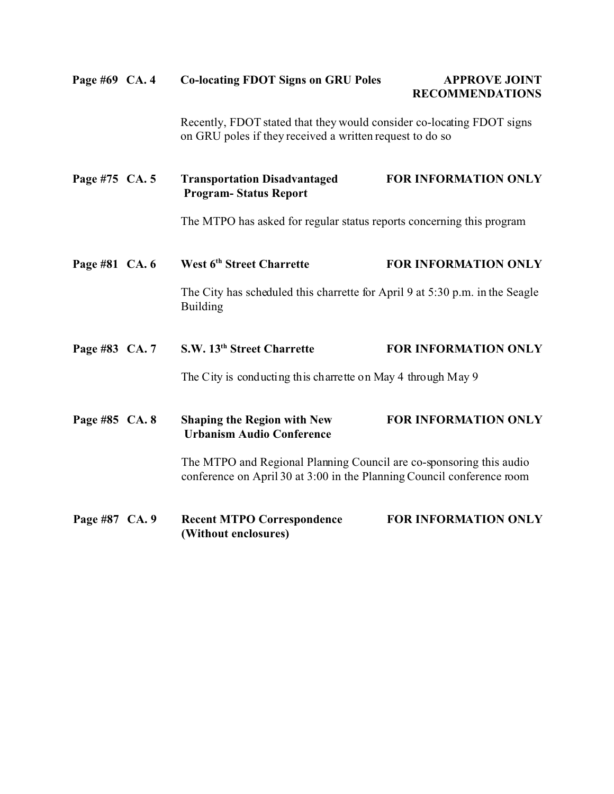| Page #69 CA. 4 | <b>Co-locating FDOT Signs on GRU Poles</b>                                                                                                    | <b>APPROVE JOINT</b><br><b>RECOMMENDATIONS</b> |
|----------------|-----------------------------------------------------------------------------------------------------------------------------------------------|------------------------------------------------|
|                | Recently, FDOT stated that they would consider co-locating FDOT signs<br>on GRU poles if they received a written request to do so             |                                                |
| Page #75 CA. 5 | <b>Transportation Disadvantaged</b><br><b>Program-Status Report</b>                                                                           | <b>FOR INFORMATION ONLY</b>                    |
|                | The MTPO has asked for regular status reports concerning this program                                                                         |                                                |
| Page #81 CA. 6 | West 6 <sup>th</sup> Street Charrette                                                                                                         | <b>FOR INFORMATION ONLY</b>                    |
|                | The City has scheduled this charrette for April 9 at 5:30 p.m. in the Seagle<br><b>Building</b>                                               |                                                |
| Page #83 CA. 7 | S.W. 13 <sup>th</sup> Street Charrette                                                                                                        | <b>FOR INFORMATION ONLY</b>                    |
|                | The City is conducting this charrette on May 4 through May 9                                                                                  |                                                |
| Page #85 CA. 8 | <b>Shaping the Region with New</b><br><b>Urbanism Audio Conference</b>                                                                        | FOR INFORMATION ONLY                           |
|                | The MTPO and Regional Planning Council are co-sponsoring this audio<br>conference on April 30 at 3:00 in the Planning Council conference room |                                                |
| Page #87 CA. 9 | <b>Recent MTPO Correspondence</b><br>(Without enclosures)                                                                                     | <b>FOR INFORMATION ONLY</b>                    |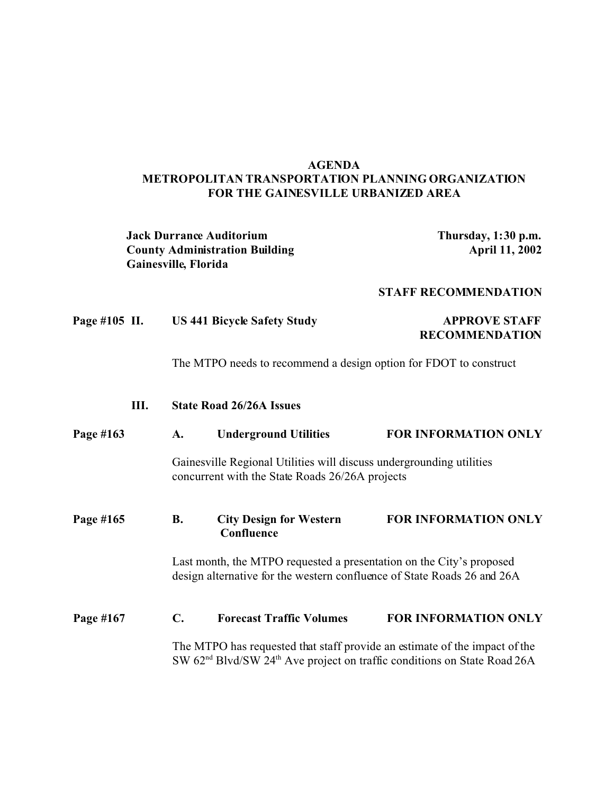### **AGENDA METROPOLITAN TRANSPORTATION PLANNING ORGANIZATION FOR THE GAINESVILLE URBANIZED AREA**

|               |      | Gainesville, Florida                                                                                                                            | <b>Jack Durrance Auditorium</b><br><b>County Administration Building</b> | Thursday, 1:30 p.m.<br>April 11, 2002                                                                                                                                          |  |
|---------------|------|-------------------------------------------------------------------------------------------------------------------------------------------------|--------------------------------------------------------------------------|--------------------------------------------------------------------------------------------------------------------------------------------------------------------------------|--|
|               |      |                                                                                                                                                 |                                                                          | <b>STAFF RECOMMENDATION</b>                                                                                                                                                    |  |
| Page #105 II. |      |                                                                                                                                                 | <b>US 441 Bicycle Safety Study</b>                                       | <b>APPROVE STAFF</b><br><b>RECOMMENDATION</b>                                                                                                                                  |  |
|               |      | The MTPO needs to recommend a design option for FDOT to construct                                                                               |                                                                          |                                                                                                                                                                                |  |
|               | III. |                                                                                                                                                 | <b>State Road 26/26A Issues</b>                                          |                                                                                                                                                                                |  |
| Page #163     |      | A.                                                                                                                                              | <b>Underground Utilities</b>                                             | <b>FOR INFORMATION ONLY</b>                                                                                                                                                    |  |
|               |      | Gainesville Regional Utilities will discuss undergrounding utilities<br>concurrent with the State Roads 26/26A projects                         |                                                                          |                                                                                                                                                                                |  |
| Page #165     |      | <b>B.</b>                                                                                                                                       | <b>City Design for Western</b><br>Confluence                             | <b>FOR INFORMATION ONLY</b>                                                                                                                                                    |  |
|               |      | Last month, the MTPO requested a presentation on the City's proposed<br>design alternative for the western confluence of State Roads 26 and 26A |                                                                          |                                                                                                                                                                                |  |
| Page #167     |      | $\mathbf{C}$ .                                                                                                                                  | <b>Forecast Traffic Volumes</b>                                          | <b>FOR INFORMATION ONLY</b>                                                                                                                                                    |  |
|               |      |                                                                                                                                                 |                                                                          | The MTPO has requested that staff provide an estimate of the impact of the<br>SW 62 <sup>nd</sup> Blvd/SW 24 <sup>th</sup> Ave project on traffic conditions on State Road 26A |  |